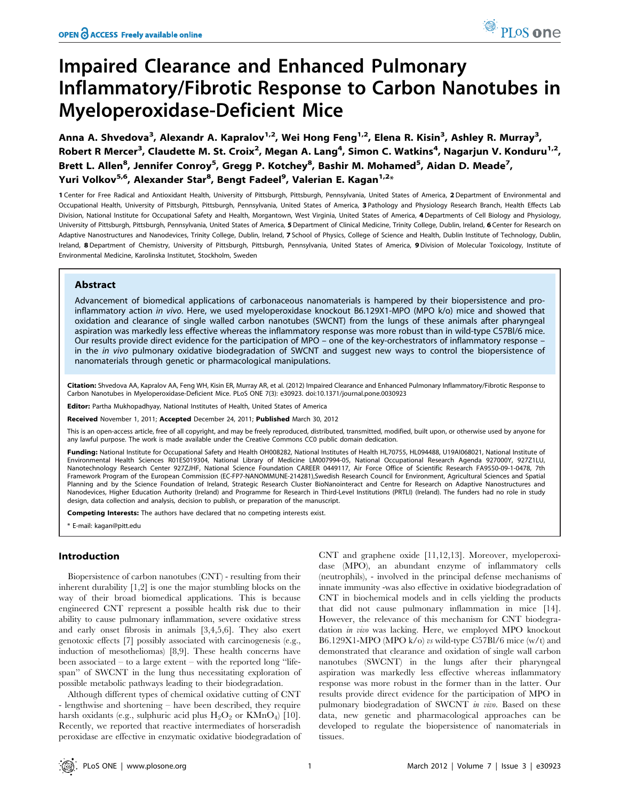# Impaired Clearance and Enhanced Pulmonary Inflammatory/Fibrotic Response to Carbon Nanotubes in Myeloperoxidase-Deficient Mice

Anna A. Shvedova<sup>3</sup>, Alexandr A. Kapralov<sup>1,2</sup>, Wei Hong Feng<sup>1,2</sup>, Elena R. Kisin<sup>3</sup>, Ashley R. Murray<sup>3</sup>, Robert R Mercer<sup>3</sup>, Claudette M. St. Croix<sup>2</sup>, Megan A. Lang<sup>4</sup>, Simon C. Watkins<sup>4</sup>, Nagarjun V. Konduru<sup>1,2</sup>, Brett L. Allen<sup>8</sup>, Jennifer Conroy<sup>5</sup>, Gregg P. Kotchey<sup>8</sup>, Bashir M. Mohamed<sup>5</sup>, Aidan D. Meade<sup>7</sup>, Yuri Volkov<sup>5,6</sup>, Alexander Star<sup>8</sup>, Bengt Fadeel<sup>9</sup>, Valerian E. Kagan<sup>1,2</sup>\*

1 Center for Free Radical and Antioxidant Health, University of Pittsburgh, Pittsburgh, Pennsylvania, United States of America, 2 Department of Environmental and Occupational Health, University of Pittsburgh, Pittsburgh, Pennsylvania, United States of America, 3 Pathology and Physiology Research Branch, Health Effects Lab Division, National Institute for Occupational Safety and Health, Morgantown, West Virginia, United States of America, 4 Departments of Cell Biology and Physiology, University of Pittsburgh, Pittsburgh, Pennsylvania, United States of America, 5 Department of Clinical Medicine, Trinity College, Dublin, Ireland, 6 Center for Research on Adaptive Nanostructures and Nanodevices, Trinity College, Dublin, Ireland, 7 School of Physics, College of Science and Health, Dublin Institute of Technology, Dublin, Ireland, 8 Department of Chemistry, University of Pittsburgh, Pittsburgh, Pennsylvania, United States of America, 9 Division of Molecular Toxicology, Institute of Environmental Medicine, Karolinska Institutet, Stockholm, Sweden

# Abstract

Advancement of biomedical applications of carbonaceous nanomaterials is hampered by their biopersistence and proinflammatory action in vivo. Here, we used myeloperoxidase knockout B6.129X1-MPO (MPO k/o) mice and showed that oxidation and clearance of single walled carbon nanotubes (SWCNT) from the lungs of these animals after pharyngeal aspiration was markedly less effective whereas the inflammatory response was more robust than in wild-type C57Bl/6 mice. Our results provide direct evidence for the participation of MPO – one of the key-orchestrators of inflammatory response – in the in vivo pulmonary oxidative biodegradation of SWCNT and suggest new ways to control the biopersistence of nanomaterials through genetic or pharmacological manipulations.

Citation: Shvedova AA, Kapralov AA, Feng WH, Kisin ER, Murray AR, et al. (2012) Impaired Clearance and Enhanced Pulmonary Inflammatory/Fibrotic Response to Carbon Nanotubes in Myeloperoxidase-Deficient Mice. PLoS ONE 7(3): e30923. doi:10.1371/journal.pone.0030923

Editor: Partha Mukhopadhyay, National Institutes of Health, United States of America

Received November 1, 2011; Accepted December 24, 2011; Published March 30, 2012

This is an open-access article, free of all copyright, and may be freely reproduced, distributed, transmitted, modified, built upon, or otherwise used by anyone for any lawful purpose. The work is made available under the Creative Commons CC0 public domain dedication.

Funding: National Institute for Occupational Safety and Health OH008282, National Institutes of Health HL70755, HL094488, U19AI068021, National Institute of Environmental Health Sciences R01ES019304, National Library of Medicine LM007994-05, National Occupational Research Agenda 927000Y, 927Z1LU, Nanotechnology Research Center 927ZJHF, National Science Foundation CAREER 0449117, Air Force Office of Scientific Research FA9550-09-1-0478, 7th Framework Program of the European Commission (EC-FP7-NANOMMUNE-214281),Swedish Research Council for Environment, Agricultural Sciences and Spatial Planning and by the Science Foundation of Ireland, Strategic Research Cluster BioNanointeract and Centre for Research on Adaptive Nanostructures and Nanodevices, Higher Education Authority (Ireland) and Programme for Research in Third-Level Institutions (PRTLI) (Ireland). The funders had no role in study design, data collection and analysis, decision to publish, or preparation of the manuscript.

Competing Interests: The authors have declared that no competing interests exist.

\* E-mail: kagan@pitt.edu

# Introduction

Biopersistence of carbon nanotubes (CNT) - resulting from their inherent durability [1,2] is one the major stumbling blocks on the way of their broad biomedical applications. This is because engineered CNT represent a possible health risk due to their ability to cause pulmonary inflammation, severe oxidative stress and early onset fibrosis in animals [3,4,5,6]. They also exert genotoxic effects [7] possibly associated with carcinogenesis (e.g., induction of mesotheliomas) [8,9]. These health concerns have been associated – to a large extent – with the reported long ''lifespan'' of SWCNT in the lung thus necessitating exploration of possible metabolic pathways leading to their biodegradation.

Although different types of chemical oxidative cutting of CNT - lengthwise and shortening – have been described, they require harsh oxidants (e.g., sulphuric acid plus  $H_2O_2$  or  $KMnO_4$ ) [10]. Recently, we reported that reactive intermediates of horseradish peroxidase are effective in enzymatic oxidative biodegradation of CNT and graphene oxide [11,12,13]. Moreover, myeloperoxidase (MPO), an abundant enzyme of inflammatory cells (neutrophils), - involved in the principal defense mechanisms of innate immunity -was also effective in oxidative biodegradation of CNT in biochemical models and in cells yielding the products that did not cause pulmonary inflammation in mice [14]. However, the relevance of this mechanism for CNT biodegradation in vivo was lacking. Here, we employed MPO knockout B6.129X1-MPO (MPO k/o) vs wild-type C57Bl/6 mice (w/t) and demonstrated that clearance and oxidation of single wall carbon nanotubes (SWCNT) in the lungs after their pharyngeal aspiration was markedly less effective whereas inflammatory response was more robust in the former than in the latter. Our results provide direct evidence for the participation of MPO in pulmonary biodegradation of SWCNT in vivo. Based on these data, new genetic and pharmacological approaches can be developed to regulate the biopersistence of nanomaterials in tissues.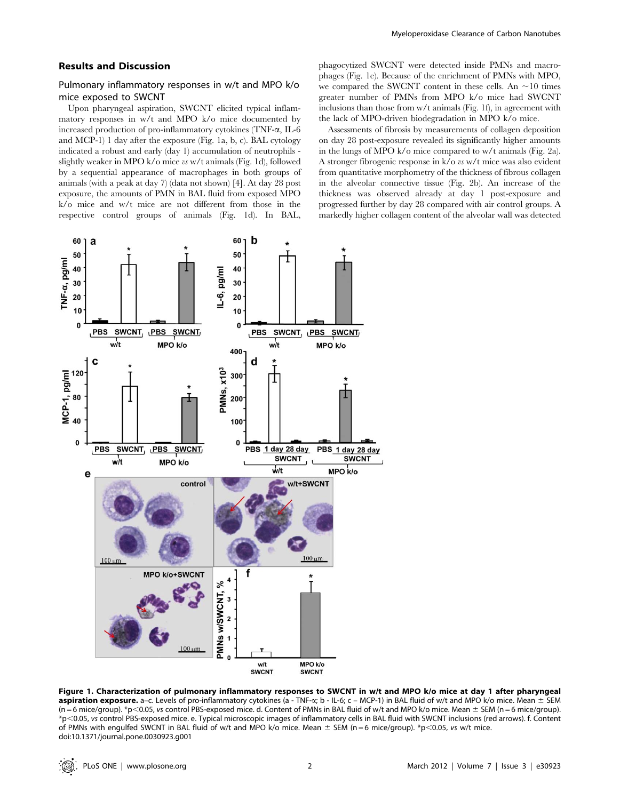#### Results and Discussion

# Pulmonary inflammatory responses in w/t and MPO k/o mice exposed to SWCNT

Upon pharyngeal aspiration, SWCNT elicited typical inflammatory responses in w/t and MPO k/o mice documented by increased production of pro-inflammatory cytokines (TNF-a, IL-6 and MCP-1) 1 day after the exposure (Fig. 1a, b, c). BAL cytology indicated a robust and early (day 1) accumulation of neutrophils slightly weaker in MPO k/o mice vs w/t animals (Fig. 1d), followed by a sequential appearance of macrophages in both groups of animals (with a peak at day 7) (data not shown) [4]. At day 28 post exposure, the amounts of PMN in BAL fluid from exposed MPO k/o mice and w/t mice are not different from those in the respective control groups of animals (Fig. 1d). In BAL, phagocytized SWCNT were detected inside PMNs and macrophages (Fig. 1e). Because of the enrichment of PMNs with MPO, we compared the SWCNT content in these cells. An  $\sim$ 10 times greater number of PMNs from MPO k/o mice had SWCNT inclusions than those from w/t animals (Fig. 1f), in agreement with the lack of MPO-driven biodegradation in MPO k/o mice.

Assessments of fibrosis by measurements of collagen deposition on day 28 post-exposure revealed its significantly higher amounts in the lungs of MPO k/o mice compared to w/t animals (Fig. 2a). A stronger fibrogenic response in k/o vs w/t mice was also evident from quantitative morphometry of the thickness of fibrous collagen in the alveolar connective tissue (Fig. 2b). An increase of the thickness was observed already at day 1 post-exposure and progressed further by day 28 compared with air control groups. A markedly higher collagen content of the alveolar wall was detected



Figure 1. Characterization of pulmonary inflammatory responses to SWCNT in w/t and MPO k/o mice at day 1 after pharyngeal aspiration exposure. a-c. Levels of pro-inflammatory cytokines (a - TNF-a; b - IL-6; c - MCP-1) in BAL fluid of w/t and MPO k/o mice. Mean  $\pm$  SEM  $(n = 6$  mice/group). \*p<0.05, vs control PBS-exposed mice. d. Content of PMNs in BAL fluid of w/t and MPO k/o mice. Mean  $\pm$  SEM (n = 6 mice/group). \*p,0.05, vs control PBS-exposed mice. e. Typical microscopic images of inflammatory cells in BAL fluid with SWCNT inclusions (red arrows). f. Content of PMNs with engulfed SWCNT in BAL fluid of w/t and MPO k/o mice. Mean  $\pm$  SEM (n = 6 mice/group). \*p<0.05, vs w/t mice. doi:10.1371/journal.pone.0030923.g001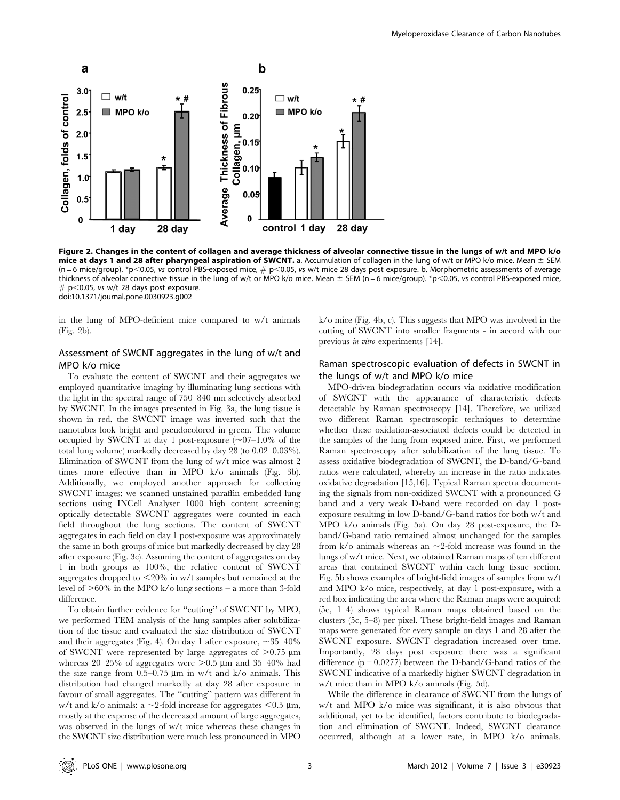

Figure 2. Changes in the content of collagen and average thickness of alveolar connective tissue in the lungs of w/t and MPO k/o mice at days 1 and 28 after pharyngeal aspiration of SWCNT. a. Accumulation of collagen in the lung of w/t or MPO k/o mice. Mean  $\pm$  SEM  $(n = 6 \text{ mice/group})$ . \*p<0.05, vs control PBS-exposed mice,  $\# p \le 0.05$ , vs w/t mice 28 days post exposure. b. Morphometric assessments of average thickness of alveolar connective tissue in the lung of w/t or MPO k/o mice. Mean  $\pm$  SEM (n = 6 mice/group). \*p<0.05, vs control PBS-exposed mice,  $# p$ <0.05, vs w/t 28 days post exposure. doi:10.1371/journal.pone.0030923.g002

in the lung of MPO-deficient mice compared to w/t animals (Fig. 2b).

# Assessment of SWCNT aggregates in the lung of w/t and MPO k/o mice

To evaluate the content of SWCNT and their aggregates we employed quantitative imaging by illuminating lung sections with the light in the spectral range of 750–840 nm selectively absorbed by SWCNT. In the images presented in Fig. 3a, the lung tissue is shown in red, the SWCNT image was inverted such that the nanotubes look bright and pseudocolored in green. The volume occupied by SWCNT at day 1 post-exposure  $(\sim 07-1.0\%$  of the total lung volume) markedly decreased by day 28 (to 0.02–0.03%). Elimination of SWCNT from the lung of w/t mice was almost 2 times more effective than in MPO k/o animals (Fig. 3b). Additionally, we employed another approach for collecting SWCNT images: we scanned unstained paraffin embedded lung sections using INCell Analyser 1000 high content screening; optically detectable SWCNT aggregates were counted in each field throughout the lung sections. The content of SWCNT aggregates in each field on day 1 post-exposure was approximately the same in both groups of mice but markedly decreased by day 28 after exposure (Fig. 3c). Assuming the content of aggregates on day 1 in both groups as 100%, the relative content of SWCNT aggregates dropped to  $\leq$ 20% in w/t samples but remained at the level of  $>60\%$  in the MPO k/o lung sections – a more than 3-fold difference.

To obtain further evidence for ''cutting'' of SWCNT by MPO, we performed TEM analysis of the lung samples after solubilization of the tissue and evaluated the size distribution of SWCNT and their aggregates (Fig. 4). On day 1 after exposure,  $\sim$  35–40% of SWCNT were represented by large aggregates of  $>0.75 \mu m$ whereas 20–25% of aggregates were  $>0.5$  µm and 35–40% had the size range from  $0.5-0.75 \mu m$  in w/t and k/o animals. This distribution had changed markedly at day 28 after exposure in favour of small aggregates. The ''cutting'' pattern was different in w/t and k/o animals: a  $\sim$  2-fold increase for aggregates  $<$  0.5 µm, mostly at the expense of the decreased amount of large aggregates, was observed in the lungs of w/t mice whereas these changes in the SWCNT size distribution were much less pronounced in MPO

k/o mice (Fig. 4b, c). This suggests that MPO was involved in the cutting of SWCNT into smaller fragments - in accord with our previous in vitro experiments [14].

# Raman spectroscopic evaluation of defects in SWCNT in the lungs of w/t and MPO k/o mice

MPO-driven biodegradation occurs via oxidative modification of SWCNT with the appearance of characteristic defects detectable by Raman spectroscopy [14]. Therefore, we utilized two different Raman spectroscopic techniques to determine whether these oxidation-associated defects could be detected in the samples of the lung from exposed mice. First, we performed Raman spectroscopy after solubilization of the lung tissue. To assess oxidative biodegradation of SWCNT, the D-band/G-band ratios were calculated, whereby an increase in the ratio indicates oxidative degradation [15,16]. Typical Raman spectra documenting the signals from non-oxidized SWCNT with a pronounced G band and a very weak D-band were recorded on day 1 postexposure resulting in low D-band/G-band ratios for both w/t and MPO k/o animals (Fig. 5a). On day 28 post-exposure, the Dband/G-band ratio remained almost unchanged for the samples from  $k$ /o animals whereas an  $\sim$ 2-fold increase was found in the lungs of w/t mice. Next, we obtained Raman maps of ten different areas that contained SWCNT within each lung tissue section. Fig. 5b shows examples of bright-field images of samples from w/t and MPO k/o mice, respectively, at day 1 post-exposure, with a red box indicating the area where the Raman maps were acquired; (5c, 1–4) shows typical Raman maps obtained based on the clusters (5c, 5–8) per pixel. These bright-field images and Raman maps were generated for every sample on days 1 and 28 after the SWCNT exposure. SWCNT degradation increased over time. Importantly, 28 days post exposure there was a significant difference  $(p = 0.0277)$  between the D-band/G-band ratios of the SWCNT indicative of a markedly higher SWCNT degradation in w/t mice than in MPO k/o animals (Fig. 5d).

While the difference in clearance of SWCNT from the lungs of w/t and MPO k/o mice was significant, it is also obvious that additional, yet to be identified, factors contribute to biodegradation and elimination of SWCNT. Indeed, SWCNT clearance occurred, although at a lower rate, in MPO k/o animals.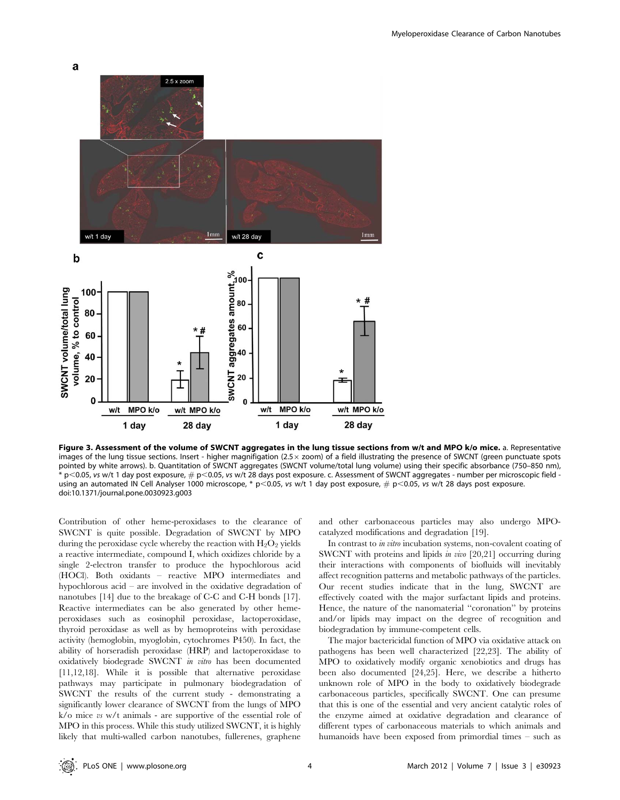

Figure 3. Assessment of the volume of SWCNT aggregates in the lung tissue sections from w/t and MPO k/o mice. a. Representative images of the lung tissue sections. Insert - higher magnifigation (2.5 $\times$  zoom) of a field illustrating the presence of SWCNT (green punctuate spots pointed by white arrows). b. Quantitation of SWCNT aggregates (SWCNT volume/total lung volume) using their specific absorbance (750–850 nm),  $*$  p<0.05, vs w/t 1 day post exposure,  $\#$  p<0.05, vs w/t 28 days post exposure. c. Assessment of SWCNT aggregates - number per microscopic field using an automated IN Cell Analyser 1000 microscope, \* p<0.05, vs w/t 1 day post exposure,  $#$  p<0.05, vs w/t 28 days post exposure. doi:10.1371/journal.pone.0030923.g003

Contribution of other heme-peroxidases to the clearance of SWCNT is quite possible. Degradation of SWCNT by MPO during the peroxidase cycle whereby the reaction with  $H_2O_2$  yields a reactive intermediate, compound I, which oxidizes chloride by a single 2-electron transfer to produce the hypochlorous acid (HOCl). Both oxidants – reactive MPO intermediates and hypochlorous acid – are involved in the oxidative degradation of nanotubes [14] due to the breakage of C-C and C-H bonds [17]. Reactive intermediates can be also generated by other hemeperoxidases such as eosinophil peroxidase, lactoperoxidase, thyroid peroxidase as well as by hemoproteins with peroxidase activity (hemoglobin, myoglobin, cytochromes P450). In fact, the ability of horseradish peroxidase (HRP) and lactoperoxidase to oxidatively biodegrade SWCNT in vitro has been documented [11,12,18]. While it is possible that alternative peroxidase pathways may participate in pulmonary biodegradation of SWCNT the results of the current study - demonstrating a significantly lower clearance of SWCNT from the lungs of MPO k/o mice vs w/t animals - are supportive of the essential role of MPO in this process. While this study utilized SWCNT, it is highly likely that multi-walled carbon nanotubes, fullerenes, graphene

and other carbonaceous particles may also undergo MPOcatalyzed modifications and degradation [19].

In contrast to *in vitro* incubation systems, non-covalent coating of SWCNT with proteins and lipids in vivo [20,21] occurring during their interactions with components of biofluids will inevitably affect recognition patterns and metabolic pathways of the particles. Our recent studies indicate that in the lung, SWCNT are effectively coated with the major surfactant lipids and proteins. Hence, the nature of the nanomaterial ''coronation'' by proteins and/or lipids may impact on the degree of recognition and biodegradation by immune-competent cells.

The major bactericidal function of MPO via oxidative attack on pathogens has been well characterized [22,23]. The ability of MPO to oxidatively modify organic xenobiotics and drugs has been also documented [24,25]. Here, we describe a hitherto unknown role of MPO in the body to oxidatively biodegrade carbonaceous particles, specifically SWCNT. One can presume that this is one of the essential and very ancient catalytic roles of the enzyme aimed at oxidative degradation and clearance of different types of carbonaceous materials to which animals and humanoids have been exposed from primordial times – such as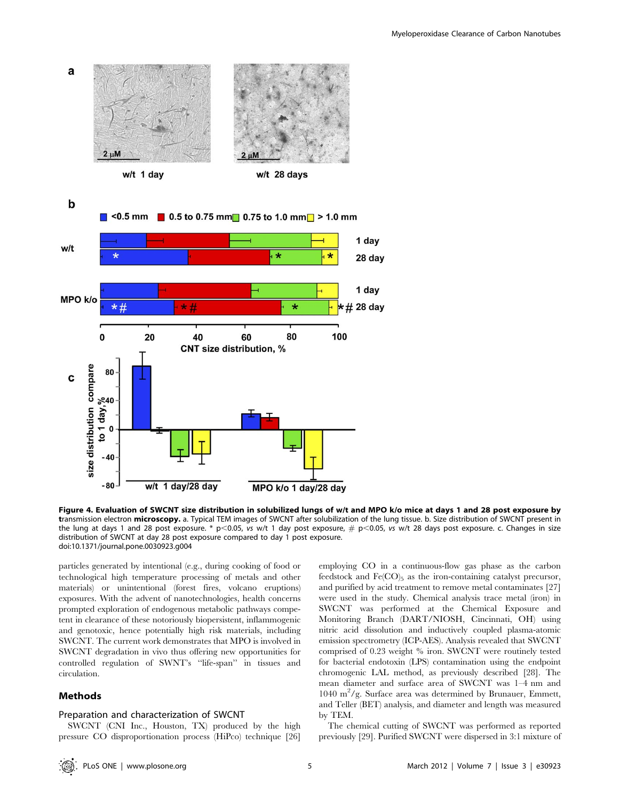

Figure 4. Evaluation of SWCNT size distribution in solubilized lungs of w/t and MPO k/o mice at days 1 and 28 post exposure by transmission electron microscopy. a. Typical TEM images of SWCNT after solubilization of the lung tissue. b. Size distribution of SWCNT present in the lung at days 1 and 28 post exposure. \* p<0.05, vs w/t 1 day post exposure,  $\#$  p<0.05, vs w/t 28 days post exposure. c. Changes in size distribution of SWCNT at day 28 post exposure compared to day 1 post exposure. doi:10.1371/journal.pone.0030923.g004

particles generated by intentional (e.g., during cooking of food or technological high temperature processing of metals and other materials) or unintentional (forest fires, volcano eruptions) exposures. With the advent of nanotechnologies, health concerns prompted exploration of endogenous metabolic pathways competent in clearance of these notoriously biopersistent, inflammogenic and genotoxic, hence potentially high risk materials, including SWCNT. The current work demonstrates that MPO is involved in SWCNT degradation in vivo thus offering new opportunities for controlled regulation of SWNT's ''life-span'' in tissues and circulation.

# Methods

# Preparation and characterization of SWCNT

SWCNT (CNI Inc., Houston, TX) produced by the high pressure CO disproportionation process (HiPco) technique [26]

employing CO in a continuous-flow gas phase as the carbon feedstock and  $Fe(CO)_5$  as the iron-containing catalyst precursor, and purified by acid treatment to remove metal contaminates [27] were used in the study. Chemical analysis trace metal (iron) in SWCNT was performed at the Chemical Exposure and Monitoring Branch (DART/NIOSH, Cincinnati, OH) using nitric acid dissolution and inductively coupled plasma-atomic emission spectrometry (ICP-AES). Analysis revealed that SWCNT comprised of 0.23 weight % iron. SWCNT were routinely tested for bacterial endotoxin (LPS) contamination using the endpoint chromogenic LAL method, as previously described [28]. The mean diameter and surface area of SWCNT was 1–4 nm and 1040 m<sup>2</sup>/g. Surface area was determined by Brunauer, Emmett, and Teller (BET) analysis, and diameter and length was measured by TEM.

The chemical cutting of SWCNT was performed as reported previously [29]. Purified SWCNT were dispersed in 3:1 mixture of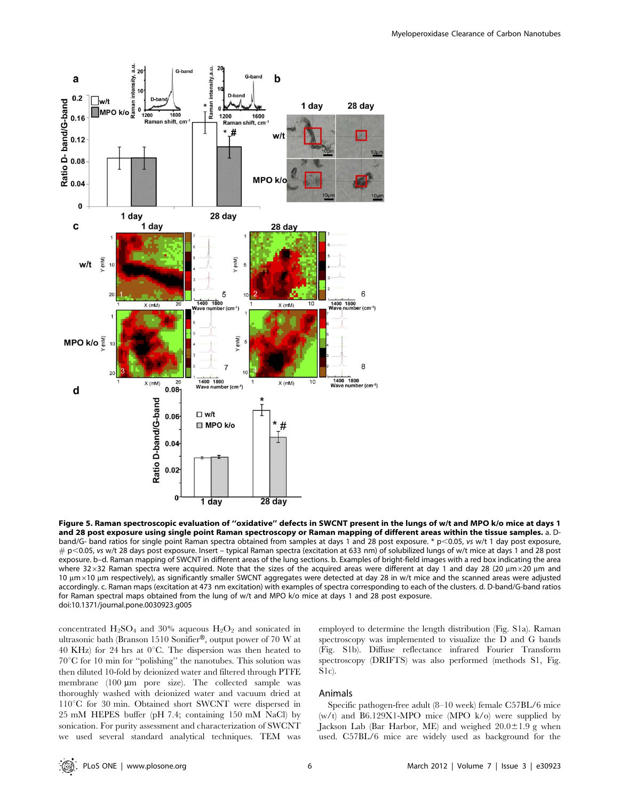

Figure 5. Raman spectroscopic evaluation of ''oxidative'' defects in SWCNT present in the lungs of w/t and MPO k/o mice at days 1 and 28 post exposure using single point Raman spectroscopy or Raman mapping of different areas within the tissue samples. a. Dband/G- band ratios for single point Raman spectra obtained from samples at days 1 and 28 post exposure. \* p<0.05, vs w/t 1 day post exposure,  $\#$  p<0.05, vs w/t 28 days post exposure. Insert – typical Raman spectra (excitation at 633 nm) of solubilized lungs of w/t mice at days 1 and 28 post exposure. b–d. Raman mapping of SWCNT in different areas of the lung sections. b. Examples of bright-field images with a red box indicating the area where 32×32 Raman spectra were acquired. Note that the sizes of the acquired areas were different at day 1 and day 28 (20  $\mu$ m  $\times$ 20  $\mu$ m and  $10 \mu m \times 10 \mu m$  respectively), as significantly smaller SWCNT aggregates were detected at day 28 in w/t mice and the scanned areas were adjusted accordingly. c. Raman maps (excitation at 473 nm excitation) with examples of spectra corresponding to each of the clusters. d. D-band/G-band ratios for Raman spectral maps obtained from the lung of w/t and MPO k/o mice at days 1 and 28 post exposure. doi:10.1371/journal.pone.0030923.g005

concentrated  $H_2SO_4$  and 30% aqueous  $H_2O_2$  and sonicated in ultrasonic bath (Branson 1510 Sonifier®, output power of 70 W at 40 KHz) for 24 hrs at  $0^{\circ}$ C. The dispersion was then heated to  $70^{\circ}$ C for 10 min for "polishing" the nanotubes. This solution was then diluted 10-fold by deionized water and filtered through PTFE membrane  $(100 \mu m)$  pore size). The collected sample was thoroughly washed with deionized water and vacuum dried at  $110^{\circ}$ C for 30 min. Obtained short SWCNT were dispersed in 25 mM HEPES buffer (pH 7.4; containing 150 mM NaCl) by sonication. For purity assessment and characterization of SWCNT we used several standard analytical techniques. TEM was employed to determine the length distribution (Fig. S1a). Raman spectroscopy was implemented to visualize the D and G bands (Fig. S1b). Diffuse reflectance infrared Fourier Transform spectroscopy (DRIFTS) was also performed (methods S1, Fig. S1c).

# Animals

Specific pathogen-free adult (8–10 week) female C57BL/6 mice  $(w/t)$  and B6.129X1-MPO mice (MPO k/o) were supplied by Jackson Lab (Bar Harbor, ME) and weighed  $20.0 \pm 1.9$  g when used. C57BL/6 mice are widely used as background for the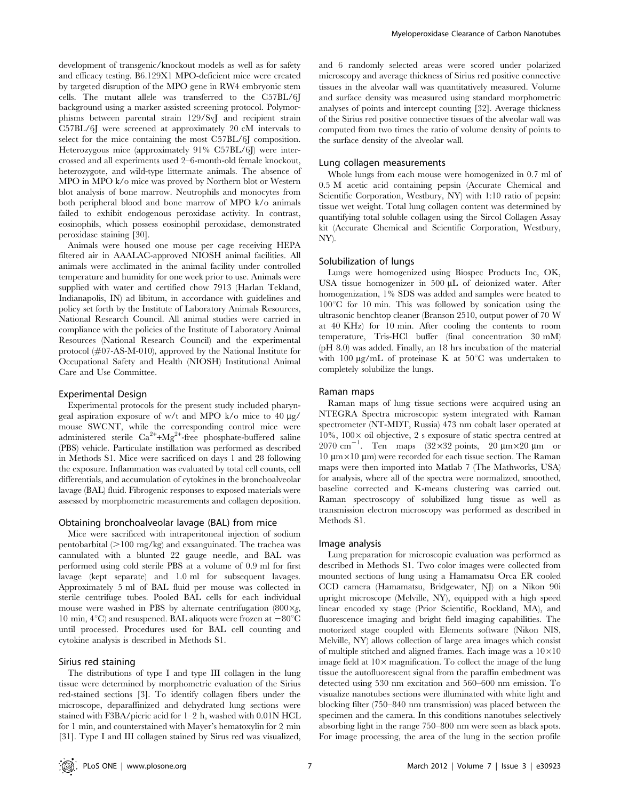development of transgenic/knockout models as well as for safety and efficacy testing. B6.129X1 MPO-deficient mice were created by targeted disruption of the MPO gene in RW4 embryonic stem cells. The mutant allele was transferred to the C57BL/6J background using a marker assisted screening protocol. Polymorphisms between parental strain 129/SvJ and recipient strain C57BL/6J were screened at approximately 20 cM intervals to select for the mice containing the most C57BL/6J composition. Heterozygous mice (approximately 91% C57BL/6J) were intercrossed and all experiments used 2–6-month-old female knockout, heterozygote, and wild-type littermate animals. The absence of MPO in MPO k/o mice was proved by Northern blot or Western blot analysis of bone marrow. Neutrophils and monocytes from both peripheral blood and bone marrow of MPO k/o animals failed to exhibit endogenous peroxidase activity. In contrast, eosinophils, which possess eosinophil peroxidase, demonstrated peroxidase staining [30].

Animals were housed one mouse per cage receiving HEPA filtered air in AAALAC-approved NIOSH animal facilities. All animals were acclimated in the animal facility under controlled temperature and humidity for one week prior to use. Animals were supplied with water and certified chow 7913 (Harlan Tekland, Indianapolis, IN) ad libitum, in accordance with guidelines and policy set forth by the Institute of Laboratory Animals Resources, National Research Council. All animal studies were carried in compliance with the policies of the Institute of Laboratory Animal Resources (National Research Council) and the experimental protocol (#07-AS-M-010), approved by the National Institute for Occupational Safety and Health (NIOSH) Institutional Animal Care and Use Committee.

#### Experimental Design

Experimental protocols for the present study included pharyngeal aspiration exposure of w/t and MPO k/o mice to  $40 \mu g$ / mouse SWCNT, while the corresponding control mice were administered sterile  $Ca^{2+}+Mg^{2+}$ -free phosphate-buffered saline (PBS) vehicle. Particulate instillation was performed as described in Methods S1. Mice were sacrificed on days 1 and 28 following the exposure. Inflammation was evaluated by total cell counts, cell differentials, and accumulation of cytokines in the bronchoalveolar lavage (BAL) fluid. Fibrogenic responses to exposed materials were assessed by morphometric measurements and collagen deposition.

# Obtaining bronchoalveolar lavage (BAL) from mice

Mice were sacrificed with intraperitoneal injection of sodium pentobarbital  $(>100 \text{ mg/kg})$  and exsanguinated. The trachea was cannulated with a blunted 22 gauge needle, and BAL was performed using cold sterile PBS at a volume of 0.9 ml for first lavage (kept separate) and 1.0 ml for subsequent lavages. Approximately 5 ml of BAL fluid per mouse was collected in sterile centrifuge tubes. Pooled BAL cells for each individual mouse were washed in PBS by alternate centrifugation  $(800 \times g,$ 10 min,  $4^{\circ}$ C) and resuspened. BAL aliquots were frozen at  $-80^{\circ}$ C until processed. Procedures used for BAL cell counting and cytokine analysis is described in Methods S1.

#### Sirius red staining

The distributions of type I and type III collagen in the lung tissue were determined by morphometric evaluation of the Sirius red-stained sections [3]. To identify collagen fibers under the microscope, deparaffinized and dehydrated lung sections were stained with F3BA/picric acid for 1–2 h, washed with 0.01N HCL for 1 min, and counterstained with Mayer's hematoxylin for 2 min [31]. Type I and III collagen stained by Sirus red was visualized,

and 6 randomly selected areas were scored under polarized microscopy and average thickness of Sirius red positive connective tissues in the alveolar wall was quantitatively measured. Volume and surface density was measured using standard morphometric analyses of points and intercept counting [32]. Average thickness of the Sirius red positive connective tissues of the alveolar wall was computed from two times the ratio of volume density of points to the surface density of the alveolar wall.

#### Lung collagen measurements

Whole lungs from each mouse were homogenized in 0.7 ml of 0.5 M acetic acid containing pepsin (Accurate Chemical and Scientific Corporation, Westbury, NY) with 1:10 ratio of pepsin: tissue wet weight. Total lung collagen content was determined by quantifying total soluble collagen using the Sircol Collagen Assay kit (Accurate Chemical and Scientific Corporation, Westbury, NY).

#### Solubilization of lungs

Lungs were homogenized using Biospec Products Inc, OK, USA tissue homogenizer in  $500 \mu L$  of deionized water. After homogenization, 1% SDS was added and samples were heated to  $100^{\circ}$ C for 10 min. This was followed by sonication using the ultrasonic benchtop cleaner (Branson 2510, output power of 70 W at 40 KHz) for 10 min. After cooling the contents to room temperature, Tris-HCl buffer (final concentration 30 mM) (pH 8.0) was added. Finally, an 18 hrs incubation of the material with 100  $\mu$ g/mL of proteinase K at 50°C was undertaken to completely solubilize the lungs.

#### Raman maps

Raman maps of lung tissue sections were acquired using an NTEGRA Spectra microscopic system integrated with Raman spectrometer (NT-MDT, Russia) 473 nm cobalt laser operated at 10%,  $100 \times$  oil objective, 2 s exposure of static spectra centred at 2070 cm<sup>-1</sup>. Ten maps  $(32 \times 32 \text{ points}, 20 \text{ }\mu\text{m} \times 20 \text{ }\mu\text{m}$  or  $10 \mu m \times 10 \mu m$ ) were recorded for each tissue section. The Raman maps were then imported into Matlab 7 (The Mathworks, USA) for analysis, where all of the spectra were normalized, smoothed, baseline corrected and K-means clustering was carried out. Raman spectroscopy of solubilized lung tissue as well as transmission electron microscopy was performed as described in Methods S1.

#### Image analysis

Lung preparation for microscopic evaluation was performed as described in Methods S1. Two color images were collected from mounted sections of lung using a Hamamatsu Orca ER cooled CCD camera (Hamamatsu, Bridgewater, NJ) on a Nikon 90i upright microscope (Melville, NY), equipped with a high speed linear encoded xy stage (Prior Scientific, Rockland, MA), and fluorescence imaging and bright field imaging capabilities. The motorized stage coupled with Elements software (Nikon NIS, Melville, NY) allows collection of large area images which consist of multiple stitched and aligned frames. Each image was a  $10\times10$ image field at  $10\times$  magnification. To collect the image of the lung tissue the autofluorescent signal from the paraffin embedment was detected using 530 nm excitation and 560–600 nm emission. To visualize nanotubes sections were illuminated with white light and blocking filter (750–840 nm transmission) was placed between the specimen and the camera. In this conditions nanotubes selectively absorbing light in the range 750–800 nm were seen as black spots. For image processing, the area of the lung in the section profile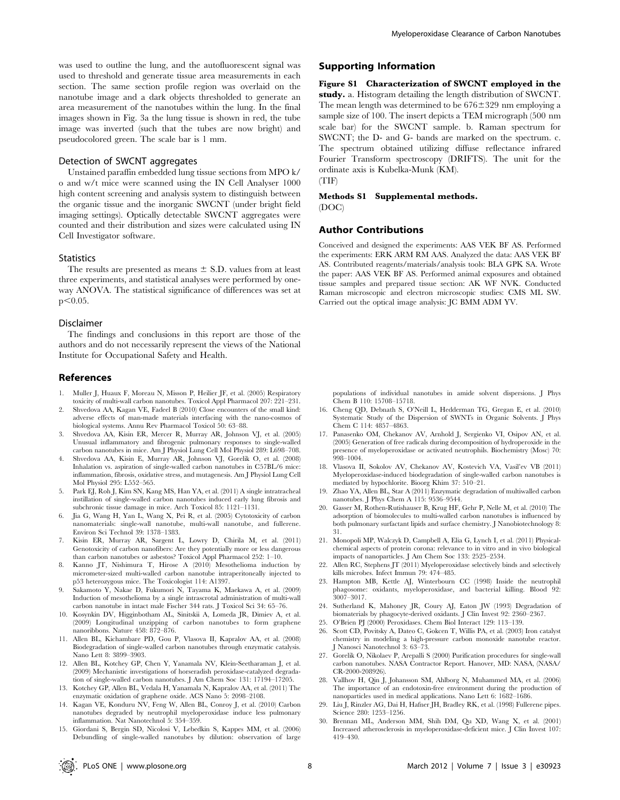was used to outline the lung, and the autofluorescent signal was used to threshold and generate tissue area measurements in each section. The same section profile region was overlaid on the nanotube image and a dark objects thresholded to generate an area measurement of the nanotubes within the lung. In the final images shown in Fig. 3a the lung tissue is shown in red, the tube image was inverted (such that the tubes are now bright) and pseudocolored green. The scale bar is 1 mm.

#### Detection of SWCNT aggregates

Unstained paraffin embedded lung tissue sections from MPO k/ o and w/t mice were scanned using the IN Cell Analyser 1000 high content screening and analysis system to distinguish between the organic tissue and the inorganic SWCNT (under bright field imaging settings). Optically detectable SWCNT aggregates were counted and their distribution and sizes were calculated using IN Cell Investigator software.

#### **Statistics**

The results are presented as means  $\pm$  S.D. values from at least three experiments, and statistical analyses were performed by oneway ANOVA. The statistical significance of differences was set at  $p<0.05$ .

#### Disclaimer

The findings and conclusions in this report are those of the authors and do not necessarily represent the views of the National Institute for Occupational Safety and Health.

#### References

- 1. Muller J, Huaux F, Moreau N, Misson P, Heilier JF, et al. (2005) Respiratory toxicity of multi-wall carbon nanotubes. Toxicol Appl Pharmacol 207: 221–231.
- 2. Shvedova AA, Kagan VE, Fadeel B (2010) Close encounters of the small kind: adverse effects of man-made materials interfacing with the nano-cosmos of biological systems. Annu Rev Pharmacol Toxicol 50: 63–88.
- 3. Shvedova AA, Kisin ER, Mercer R, Murray AR, Johnson VJ, et al. (2005) Unusual inflammatory and fibrogenic pulmonary responses to single-walled carbon nanotubes in mice. Am J Physiol Lung Cell Mol Physiol 289: L698–708.
- 4. Shvedova AA, Kisin E, Murray AR, Johnson VJ, Gorelik O, et al. (2008) Inhalation vs. aspiration of single-walled carbon nanotubes in C57BL/6 mice: inflammation, fibrosis, oxidative stress, and mutagenesis. Am J Physiol Lung Cell Mol Physiol 295: L552–565.
- 5. Park EJ, Roh J, Kim SN, Kang MS, Han YA, et al. (2011) A single intratracheal instillation of single-walled carbon nanotubes induced early lung fibrosis and subchronic tissue damage in mice. Arch Toxicol 85: 1121–1131.
- 6. Jia G, Wang H, Yan L, Wang X, Pei R, et al. (2005) Cytotoxicity of carbon nanomaterials: single-wall nanotube, multi-wall nanotube, and fullerene. Environ Sci Technol 39: 1378–1383.
- 7. Kisin ER, Murray AR, Sargent L, Lowry D, Chirila M, et al. (2011) Genotoxicity of carbon nanofibers: Are they potentially more or less dangerous than carbon nanotubes or asbestos? Toxicol Appl Pharmacol 252: 1–10.
- 8. Kanno JT, Nishimura T, Hirose A (2010) Mesothelioma induction by micrometer-sized multi-walled carbon nanotube intraperitoneally injected to p53 heterozygous mice. The Toxicologist 114: A1397.
- 9. Sakamoto Y, Nakae D, Fukumori N, Tayama K, Maekawa A, et al. (2009) Induction of mesothelioma by a single intrascrotal administration of multi-wall carbon nanotube in intact male Fischer 344 rats. J Toxicol Sci 34: 65–76.
- 10. Kosynkin DV, Higginbotham AL, Sinitskii A, Lomeda JR, Dimiev A, et al. (2009) Longitudinal unzipping of carbon nanotubes to form graphene nanoribbons. Nature 458: 872–876.
- 11. Allen BL, Kichambare PD, Gou P, Vlasova II, Kapralov AA, et al. (2008) Biodegradation of single-walled carbon nanotubes through enzymatic catalysis. Nano Lett 8: 3899–3903.
- 12. Allen BL, Kotchey GP, Chen Y, Yanamala NV, Klein-Seetharaman J, et al. (2009) Mechanistic investigations of horseradish peroxidase-catalyzed degradation of single-walled carbon nanotubes. J Am Chem Soc 131: 17194–17205.
- 13. Kotchey GP, Allen BL, Vedala H, Yanamala N, Kapralov AA, et al. (2011) The enzymatic oxidation of graphene oxide. ACS Nano 5: 2098–2108.
- 14. Kagan VE, Konduru NV, Feng W, Allen BL, Conroy J, et al. (2010) Carbon nanotubes degraded by neutrophil myeloperoxidase induce less pulmonary inflammation. Nat Nanotechnol 5: 354–359.
- 15. Giordani S, Bergin SD, Nicolosi V, Lebedkin S, Kappes MM, et al. (2006) Debundling of single-walled nanotubes by dilution: observation of large

# Supporting Information

Figure S1 Characterization of SWCNT employed in the study. a. Histogram detailing the length distribution of SWCNT. The mean length was determined to be  $676 \pm 329$  nm employing a sample size of 100. The insert depicts a TEM micrograph (500 nm scale bar) for the SWCNT sample. b. Raman spectrum for SWCNT; the D- and G- bands are marked on the spectrum. c. The spectrum obtained utilizing diffuse reflectance infrared Fourier Transform spectroscopy (DRIFTS). The unit for the ordinate axis is Kubelka-Munk (KM). (TIF)

# Methods S1 Supplemental methods.

(DOC)

### Author Contributions

Conceived and designed the experiments: AAS VEK BF AS. Performed the experiments: ERK ARM RM AAS. Analyzed the data: AAS VEK BF AS. Contributed reagents/materials/analysis tools: BLA GPK SA. Wrote the paper: AAS VEK BF AS. Performed animal exposures and obtained tissue samples and prepared tissue section: AK WF NVK. Conducted Raman microscopic and electron microscopic studies: CMS ML SW. Carried out the optical image analysis: JC BMM ADM YV.

populations of individual nanotubes in amide solvent dispersions. J Phys Chem B 110: 15708–15718.

- 16. Cheng QD, Debnath S, O'Neill L, Hedderman TG, Gregan E, et al. (2010) Systematic Study of the Dispersion of SWNTs in Organic Solvents. J Phys Chem C 114: 4857–4863.
- 17. Panasenko OM, Chekanov AV, Arnhold J, Sergienko VI, Osipov AN, et al. (2005) Generation of free radicals during decomposition of hydroperoxide in the presence of myeloperoxidase or activated neutrophils. Biochemistry (Mosc) 70: 998–1004.
- 18. Vlasova II, Sokolov AV, Chekanov AV, Kostevich VA, Vasil'ev VB (2011) Myeloperoxidase-induced biodegradation of single-walled carbon nanotubes is mediated by hypochlorite. Bioorg Khim 37: 510–21.
- 19. Zhao YA, Allen BL, Star A (2011) Enzymatic degradation of multiwalled carbon nanotubes. J Phys Chem A 115: 9536–9544.
- 20. Gasser M, Rothen-Rutishauser B, Krug HF, Gehr P, Nelle M, et al. (2010) The adsorption of biomolecules to multi-walled carbon nanotubes is influenced by both pulmonary surfactant lipids and surface chemistry. J Nanobiotechnology 8: 31.
- 21. Monopoli MP, Walczyk D, Campbell A, Elia G, Lynch I, et al. (2011) Physicalchemical aspects of protein corona: relevance to in vitro and in vivo biological impacts of nanoparticles. J Am Chem Soc 133: 2525–2534.
- 22. Allen RC, Stephens JT (2011) Myeloperoxidase selectively binds and selectively kills microbes. Infect Immun 79: 474–485.
- 23. Hampton MB, Kettle AJ, Winterbourn CC (1998) Inside the neutrophil phagosome: oxidants, myeloperoxidase, and bacterial killing. Blood 92: 3007–3017.
- 24. Sutherland K, Mahoney JR, Coury AJ, Eaton JW (1993) Degradation of biomaterials by phagocyte-derived oxidants. J Clin Invest 92: 2360–2367.
- 25. O'Brien PJ (2000) Peroxidases. Chem Biol Interact 129: 113–139.
- 26. Scott CD, Povitsky A, Dateo C, Gokcen T, Willis PA, et al. (2003) Iron catalyst chemistry in modeling a high-pressure carbon monoxide nanotube reactor. J Nanosci Nanotechnol 3: 63–73.
- 27. Gorelik O, Nikolaev P, Arepalli S (2000) Purification procedures for single-wall carbon nanotubes. NASA Contractor Report. Hanover, MD: NASA, (NASA/ CR-2000-208926)
- 28. Vallhov H, Qin J, Johansson SM, Ahlborg N, Muhammed MA, et al. (2006) The importance of an endotoxin-free environment during the production of nanoparticles used in medical applications. Nano Lett 6: 1682–1686.
- 29. Liu J, Rinzler AG, Dai H, Hafner JH, Bradley RK, et al. (1998) Fullerene pipes. Science 280: 1253–1256.
- 30. Brennan ML, Anderson MM, Shih DM, Qu XD, Wang X, et al. (2001) Increased atherosclerosis in myeloperoxidase-deficient mice. J Clin Invest 107: 419–430.